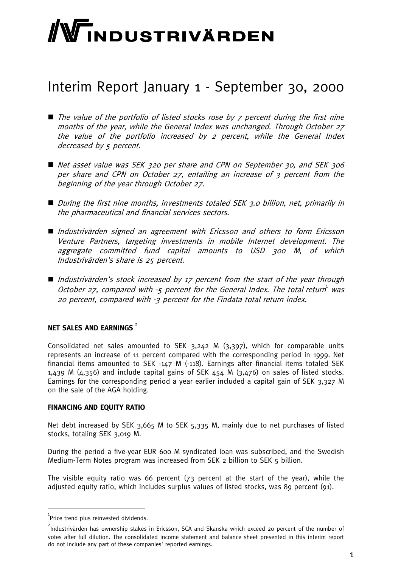# WINDUSTRIVÄRDEN

## Interim Report January 1 - September 30, 2000

- $\blacksquare$  The value of the portfolio of listed stocks rose by  $\zeta$  percent during the first nine months of the year, while the General Index was unchanged. Through October 27 the value of the portfolio increased by 2 percent, while the General Index decreased by 5 percent.
- Net asset value was SEK 320 per share and CPN on September 30, and SEK 306 per share and CPN on October 27, entailing an increase of 3 percent from the beginning of the year through October 27.
- During the first nine months, investments totaled SEK 3.0 billion, net, primarily in the pharmaceutical and financial services sectors.
- Industrivärden signed an agreement with Ericsson and others to form Ericsson Venture Partners, targeting investments in mobile Internet development. The aggregate committed fund capital amounts to USD 300 M, of which Industrivärden's share is 25 percent.
- Industrivärden's stock increased by 17 percent from the start of the year through October 27, compared with -5 percent for the General Index. The total return was 20 percent, compared with -3 percent for the Findata total return index.

#### **NET SALES AND FARNINGS**<sup>2</sup>

Consolidated net sales amounted to SEK 3,242 M (3,397), which for comparable units represents an increase of 11 percent compared with the corresponding period in 1999. Net financial items amounted to SEK -147 M (-118). Earnings after financial items totaled SEK 1,439 M (4,356) and include capital gains of SEK  $454$  M (3,476) on sales of listed stocks. Earnings for the corresponding period a year earlier included a capital gain of SEK 3,327 M on the sale of the AGA holding.

#### **FINANCING AND EQUITY RATIO**

Net debt increased by SEK 3,665 M to SEK 5,335 M, mainly due to net purchases of listed stocks, totaling SEK 3,019 M.

During the period a five-year EUR 600 M syndicated loan was subscribed, and the Swedish Medium-Term Notes program was increased from SEK 2 billion to SEK 5 billion.

The visible equity ratio was 66 percent (73 percent at the start of the year), while the adjusted equity ratio, which includes surplus values of listed stocks, was 89 percent (91).

 $^{1}$ Price trend plus reinvested dividends.

<sup>&</sup>lt;sup>2</sup><br>Industrivärden has ownership stakes in Ericsson, SCA and Skanska which exceed 20 percent of the number of votes after full dilution. The consolidated income statement and balance sheet presented in this interim report do not include any part of these companies' reported earnings.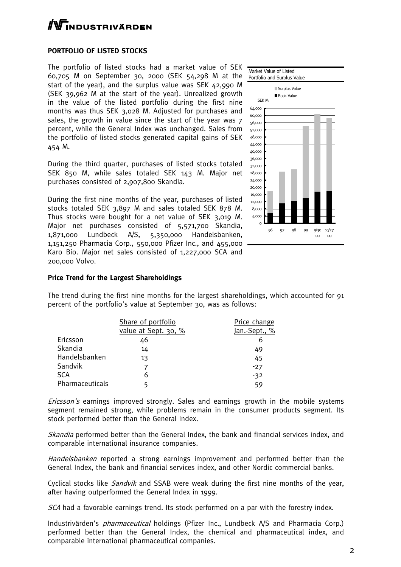# **TNDUSTRIVÄRDEN**

#### **PORTFOLIO OF LISTED STOCKS**

The portfolio of listed stocks had a market value of SEK 60,705 M on September 30, 2000 (SEK 54,298 M at the start of the year), and the surplus value was SEK 42,990 M (SEK 39,962 M at the start of the year). Unrealized growth in the value of the listed portfolio during the first nine months was thus SEK 3,028 M. Adjusted for purchases and sales, the growth in value since the start of the year was 7 percent, while the General Index was unchanged. Sales from the portfolio of listed stocks generated capital gains of SEK 454 M.

During the third quarter, purchases of listed stocks totaled SEK 850 M, while sales totaled SEK 143 M. Major net purchases consisted of 2,907,800 Skandia.

During the first nine months of the year, purchases of listed stocks totaled SEK 3,897 M and sales totaled SEK 878 M. Thus stocks were bought for a net value of SEK 3,019 M. Major net purchases consisted of 5,571,700 Skandia, 1,871,000 Lundbeck A/S, 5,350,000 Handelsbanken, 1,151,250 Pharmacia Corp., 550,000 Pfizer Inc., and 455,000 Karo Bio. Major net sales consisted of 1,227,000 SCA and 200,000 Volvo.



#### **Price Trend for the Largest Shareholdings**

The trend during the first nine months for the largest shareholdings, which accounted for 91 percent of the portfolio's value at September 30, was as follows:

|                 | Share of portfolio   | Price change  |
|-----------------|----------------------|---------------|
|                 | value at Sept. 30, % | Jan.-Sept., % |
| Ericsson        | 46                   | 6             |
| Skandia         | 14                   | 49            |
| Handelsbanken   | 13                   | 45            |
| Sandvik         |                      | $-27$         |
| <b>SCA</b>      | 6                    | $-32$         |
| Pharmaceuticals |                      | 59            |

Ericsson's earnings improved strongly. Sales and earnings growth in the mobile systems segment remained strong, while problems remain in the consumer products segment. Its stock performed better than the General Index.

Skandia performed better than the General Index, the bank and financial services index, and comparable international insurance companies.

Handelsbanken reported a strong earnings improvement and performed better than the General Index, the bank and financial services index, and other Nordic commercial banks.

Cyclical stocks like *Sandvik* and SSAB were weak during the first nine months of the year, after having outperformed the General Index in 1999.

SCA had a favorable earnings trend. Its stock performed on a par with the forestry index.

Industrivärden's pharmaceutical holdings (Pfizer Inc., Lundbeck A/S and Pharmacia Corp.) performed better than the General Index, the chemical and pharmaceutical index, and comparable international pharmaceutical companies.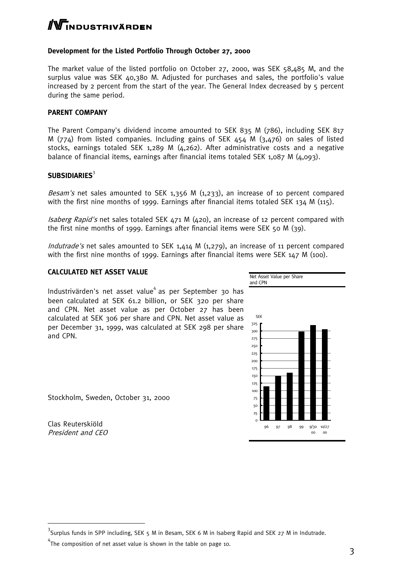# **WINDUSTRIVÄRDEN**

#### **Development for the Listed Portfolio Through October 27, 2000**

The market value of the listed portfolio on October 27, 2000, was SEK 58,485 M, and the surplus value was SEK 40,380 M. Adjusted for purchases and sales, the portfolio's value increased by 2 percent from the start of the year. The General Index decreased by 5 percent during the same period.

#### **PARENT COMPANY**

The Parent Company's dividend income amounted to SEK 835 M (786), including SEK 817 M (774) from listed companies. Including gains of SEK 454 M (3,476) on sales of listed stocks, earnings totaled SEK 1,289 M (4,262). After administrative costs and a negative balance of financial items, earnings after financial items totaled SEK  $1,087$  M  $(4,093)$ .

#### **SUBSIDIARIES**<sup>3</sup>

*Besam's* net sales amounted to SEK 1,356 M  $(1,233)$ , an increase of 10 percent compared with the first nine months of 1999. Earnings after financial items totaled SEK 134 M (115).

*Isaberg Rapid's* net sales totaled SEK  $471$  M  $(420)$ , an increase of 12 percent compared with the first nine months of 1999. Earnings after financial items were SEK 50 M (39).

Indutrade's net sales amounted to SEK 1,414 M (1,279), an increase of 11 percent compared with the first nine months of 1999. Earnings after financial items were SEK 147 M (100).

#### **CALCULATED NET ASSET VALUE**

Industrivärden's net asset value $^4$  as per September 30 has been calculated at SEK 61.2 billion, or SEK 320 per share and CPN. Net asset value as per October 27 has been calculated at SEK 306 per share and CPN. Net asset value as per December 31, 1999, was calculated at SEK 298 per share and CPN.

Stockholm, Sweden, October 31, 2000

Clas Reuterskiöld President and CEO



<sup>&</sup>lt;sup>3</sup><br>Surplus funds in SPP including, SEK 5 M in Besam, SEK 6 M in Isaberg Rapid and SEK 27 M in Indutrade.

 $4$ The composition of net asset value is shown in the table on page 10.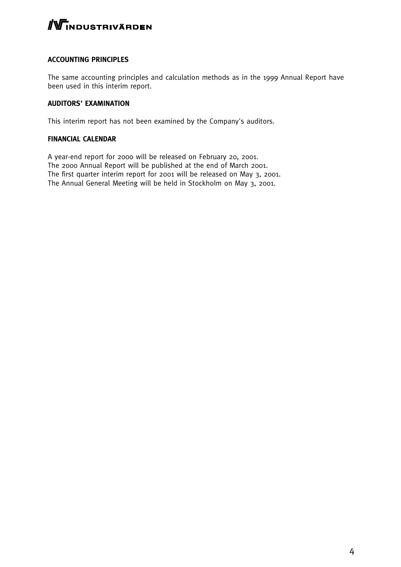

#### **ACCOUNTING PRINCIPLES**

The same accounting principles and calculation methods as in the 1999 Annual Report have been used in this interim report.

#### **AUDITORS' EXAMINATION**

This interim report has not been examined by the Company's auditors.

#### **FINANCIAL CALENDAR**

A year-end report for 2000 will be released on February 20, 2001. The 2000 Annual Report will be published at the end of March 2001. The first quarter interim report for 2001 will be released on May 3, 2001. The Annual General Meeting will be held in Stockholm on May 3, 2001.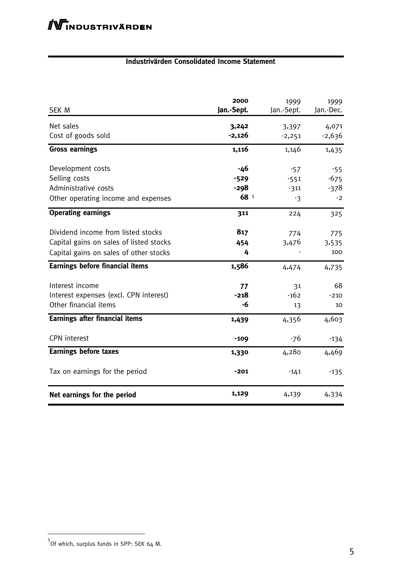#### **Industrivärden Consolidated Income Statement**

| SEK M                                                                                                                   | 2000<br>Jan.-Sept. | 1999<br>Jan.-Sept. | 1999<br>Jan.-Dec.   |
|-------------------------------------------------------------------------------------------------------------------------|--------------------|--------------------|---------------------|
| Net sales<br>Cost of goods sold                                                                                         | 3,242<br>$-2,126$  | 3,397<br>$-2,251$  | 4,071<br>$-2,636$   |
| <b>Gross earnings</b>                                                                                                   | 1,116              | 1,146              | 1,435               |
| Development costs<br>Selling costs                                                                                      | -46<br>$-529$      | $-57$<br>$-551$    | $-55$<br>$-675$     |
| Administrative costs                                                                                                    | $-298$             | $-311$             | $-378$              |
| Other operating income and expenses                                                                                     | 68 5               | $-3$               | $-2$                |
| <b>Operating earnings</b>                                                                                               | 311                | 224                | 325                 |
| Dividend income from listed stocks<br>Capital gains on sales of listed stocks<br>Capital gains on sales of other stocks | 817<br>454<br>4    | 774<br>3,476       | 775<br>3,535<br>100 |
| <b>Earnings before financial items</b>                                                                                  | 1,586              | 4,474              | 4,735               |
| Interest income<br>Interest expenses (excl. CPN interest)<br>Other financial items                                      | 77<br>$-218$<br>-6 | 31<br>$-162$<br>13 | 68<br>$-210$<br>10  |
| <b>Earnings after financial items</b>                                                                                   | 1,439              | 4,356              | 4,603               |
| <b>CPN</b> interest                                                                                                     | $-109$             | -76                | $-134$              |
| <b>Earnings before taxes</b>                                                                                            | 1,330              | 4,280              | 4,469               |
| Tax on earnings for the period                                                                                          | $-201$             | $-141$             | $-135$              |
| Net earnings for the period                                                                                             | 1,129              | 4,139              | 4,334               |

<sup>&</sup>lt;sup>5</sup><br>Of which, surplus funds in SPP: SEK 64 M.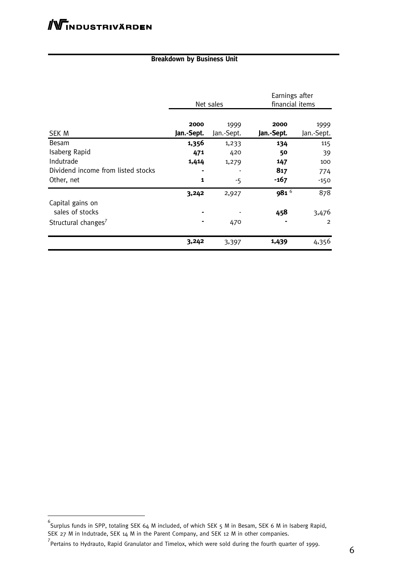### **Breakdown by Business Unit**

|                                     | Net sales          |                    | Earnings after<br>financial items |                    |
|-------------------------------------|--------------------|--------------------|-----------------------------------|--------------------|
| SEK M                               | 2000<br>Jan.-Sept. | 1999<br>Jan.-Sept. | 2000<br>Jan.-Sept.                | 1999<br>Jan.-Sept. |
| Besam                               | 1,356              | 1,233              | 134                               | 115                |
| Isaberg Rapid                       | 471                | 420                | 50                                | 39                 |
| Indutrade                           | 1,414              | 1,279              | 147                               | 100                |
| Dividend income from listed stocks  |                    |                    | 817                               | 774                |
| Other, net                          | 1                  | $-5$               | $-167$                            | -150               |
|                                     | 3,242              | 2,927              | 9816                              | 878                |
| Capital gains on<br>sales of stocks |                    |                    | 458                               | 3,476              |
| Structural changes <sup>7</sup>     |                    | 470                |                                   | $\overline{2}$     |
|                                     | 3,242              | 3,397              | 1,439                             | 4,356              |

 6 Surplus funds in SPP, totaling SEK 64 M included, of which SEK 5 M in Besam, SEK 6 M in Isaberg Rapid, SEK 27 M in Indutrade, SEK 14 M in the Parent Company, and SEK 12 M in other companies.

<sup>&</sup>lt;sup>7</sup><br>Pertains to Hydrauto, Rapid Granulator and Timelox, which were sold during the fourth quarter of 1999.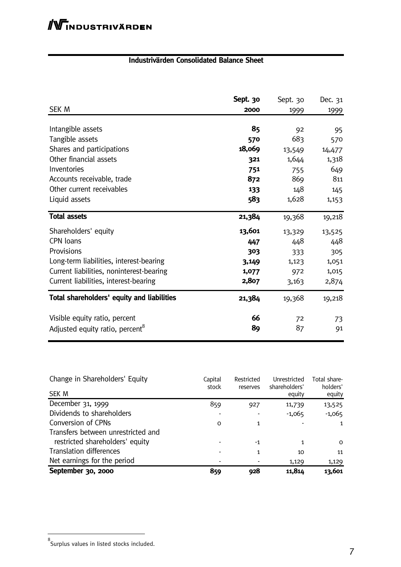## **Industrivärden Consolidated Balance Sheet**

| <b>SEK M</b>                                | Sept. 30<br>2000 | Sept. 30<br>1999 | Dec. 31<br><u>1999</u> |
|---------------------------------------------|------------------|------------------|------------------------|
| Intangible assets                           | 85               | 92               | 95                     |
| Tangible assets                             | 570              | 683              | 570                    |
| Shares and participations                   | 18,069           | 13,549           | 14,477                 |
| Other financial assets                      | 321              | 1,644            | 1,318                  |
| Inventories                                 | 751              | 755              | 649                    |
| Accounts receivable, trade                  | 872              | 869              | 811                    |
| Other current receivables                   | 133              | 148              | 145                    |
| Liquid assets                               | 583              | 1,628            | 1,153                  |
| <b>Total assets</b>                         | 21,384           | 19,368           | 19,218                 |
| Shareholders' equity                        | 13,601           | 13,329           | 13,525                 |
| CPN loans                                   | 447              | 448              | 448                    |
| Provisions                                  | 303              | 333              | 305                    |
| Long-term liabilities, interest-bearing     | 3,149            | 1,123            | 1,051                  |
| Current liabilities, noninterest-bearing    | 1,077            | 972              | 1,015                  |
| Current liabilities, interest-bearing       | 2,807            | 3,163            | 2,874                  |
| Total shareholders' equity and liabilities  | 21,384           | 19,368           | 19,218                 |
| Visible equity ratio, percent               | 66               | 72               | 73                     |
| Adjusted equity ratio, percent <sup>8</sup> | 89               | 87               | 91                     |

| Change in Shareholders' Equity     | Capital<br>stock | Restricted<br>reserves | Unrestricted<br>shareholders' | Total share-<br>holders' |
|------------------------------------|------------------|------------------------|-------------------------------|--------------------------|
| <b>SEK M</b>                       |                  |                        | equity                        | equity                   |
| December 31, 1999                  | 859              | 927                    | 11,739                        | 13,525                   |
| Dividends to shareholders          |                  |                        | $-1,065$                      | $-1,065$                 |
| Conversion of CPNs                 | O                | 1                      |                               | $\mathbf{1}$             |
| Transfers between unrestricted and |                  |                        |                               |                          |
| restricted shareholders' equity    |                  | $-1$                   | 1                             | $\Omega$                 |
| <b>Translation differences</b>     |                  |                        | 10                            | 11                       |
| Net earnings for the period        |                  |                        | 1,129                         | 1,129                    |
| September 30, 2000                 | 859              | 928                    | 11,814                        | 13,601                   |

<sup>&</sup>lt;sub>8</sub><br>Surplus values in listed stocks included.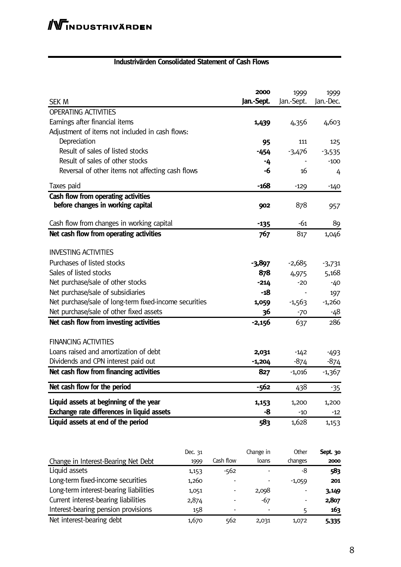#### **Industrivärden Consolidated Statement of Cash Flows**

|                                                        |         |           | 2000       | 1999       | 1999      |
|--------------------------------------------------------|---------|-----------|------------|------------|-----------|
| <b>SEK M</b>                                           |         |           | Jan.-Sept. | Jan.-Sept. | Jan.-Dec. |
| <b>OPERATING ACTIVITIES</b>                            |         |           |            |            |           |
| Earnings after financial items                         |         |           | 1,439      | 4,356      | 4,603     |
| Adjustment of items not included in cash flows:        |         |           |            |            |           |
| Depreciation                                           |         |           | 95         | 111        | 125       |
| Result of sales of listed stocks                       |         |           | -454       | $-3,476$   | $-3,535$  |
| Result of sales of other stocks                        |         |           | -4         |            | $-100$    |
| Reversal of other items not affecting cash flows       |         |           | -6         | 16         | 4         |
| Taxes paid                                             |         |           | $-168$     | $-129$     | $-140$    |
| Cash flow from operating activities                    |         |           |            |            |           |
| before changes in working capital                      |         |           | 902        | 878        | 957       |
| Cash flow from changes in working capital              |         |           | $-135$     | -61        | 89        |
| Net cash flow from operating activities                |         |           | 767        | 817        | 1,046     |
|                                                        |         |           |            |            |           |
| <b>INVESTING ACTIVITIES</b>                            |         |           |            |            |           |
| Purchases of listed stocks                             |         |           | $-3,897$   | $-2,685$   | $-3,731$  |
| Sales of listed stocks                                 |         |           | 878        | 4,975      | 5,168     |
| Net purchase/sale of other stocks                      |         |           | $-214$     | $-20$      | -40       |
| Net purchase/sale of subsidiaries                      |         |           |            |            | 197       |
| Net purchase/sale of long-term fixed-income securities |         |           | 1,059      | $-1,563$   | $-1,260$  |
| Net purchase/sale of other fixed assets                |         |           | 36         | $-70$      | -48       |
| Net cash flow from investing activities                |         |           | $-2,156$   | 637        | 286       |
|                                                        |         |           |            |            |           |
| <b>FINANCING ACTIVITIES</b>                            |         |           |            |            |           |
| Loans raised and amortization of debt                  |         |           | 2,031      | $-142$     | $-493$    |
| Dividends and CPN interest paid out                    |         |           | -1,204     | $-874$     | -874      |
| Net cash flow from financing activities                |         |           | 827        | $-1,016$   | $-1,367$  |
| Net cash flow for the period                           |         |           | $-562$     | 438        | -35       |
| Liquid assets at beginning of the year                 |         |           | 1,153      | 1,200      | 1,200     |
| Exchange rate differences in liquid assets             |         |           | -8         | $-10$      | $-12$     |
| Liquid assets at end of the period                     |         |           | 583        | 1,628      | 1,153     |
|                                                        |         |           |            |            |           |
|                                                        | Dec. 31 |           | Change in  | Other      | Sept. 30  |
| Change in Interest-Bearing Net Debt                    | 1999    | Cash flow | loans      | changes    | 2000      |
| Liquid assets                                          | 1,153   | $-562$    |            | -8         | 583       |
| Long-term fixed-income securities                      | 1,260   |           |            | $-1,059$   | 201       |
| Long-term interest-bearing liabilities                 | 1,051   |           | 2,098      |            | 3,149     |
| Current interest-bearing liabilities                   | 2,874   |           | $-67$      |            | 2,807     |
| Interest-bearing pension provisions                    | 158     |           |            | 5          | 163       |

Net interest-bearing debt 1,670 562 2,031 1,072 **5,335**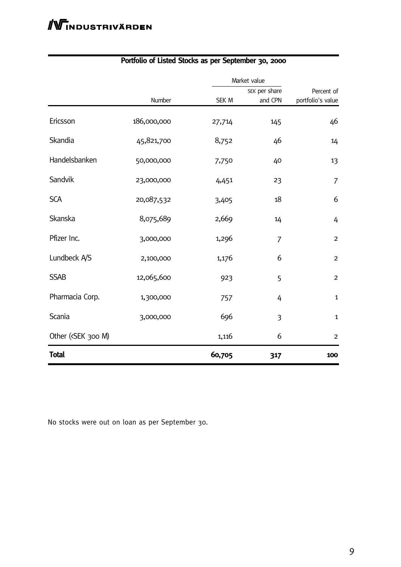|                                                                                                            |             |        | Market value   |                   |  |
|------------------------------------------------------------------------------------------------------------|-------------|--------|----------------|-------------------|--|
|                                                                                                            |             |        | SEK per share  | Percent of        |  |
|                                                                                                            | Number      | SEK M  | and CPN        | portfolio's value |  |
| Ericsson                                                                                                   | 186,000,000 | 27,714 | 145            | 46                |  |
| Skandia                                                                                                    | 45,821,700  | 8,752  | 46             | 14                |  |
| Handelsbanken                                                                                              | 50,000,000  | 7,750  | 40             | 13                |  |
| Sandvik                                                                                                    | 23,000,000  | 4,451  | 23             | $\overline{7}$    |  |
| <b>SCA</b>                                                                                                 | 20,087,532  | 3,405  | 18             | 6                 |  |
| Skanska                                                                                                    | 8,075,689   | 2,669  | 14             | 4                 |  |
| Pfizer Inc.                                                                                                | 3,000,000   | 1,296  | $\overline{7}$ | $\overline{2}$    |  |
| Lundbeck A/S                                                                                               | 2,100,000   | 1,176  | 6              | $\overline{2}$    |  |
| <b>SSAB</b>                                                                                                | 12,065,600  | 923    | 5              | $\overline{2}$    |  |
| Pharmacia Corp.                                                                                            | 1,300,000   | 757    | 4              | $\mathbf{1}$      |  |
| Scania                                                                                                     | 3,000,000   | 696    | 3              | $\mathbf{1}$      |  |
| Other ( <sek 300="" m)<="" td=""><td></td><td>1,116</td><td>6</td><td><math>\overline{2}</math></td></sek> |             | 1,116  | 6              | $\overline{2}$    |  |
| <b>Total</b>                                                                                               |             | 60,705 | 317            | 100               |  |

## **Portfolio of Listed Stocks as per September 30, 2000**

No stocks were out on loan as per September 30.